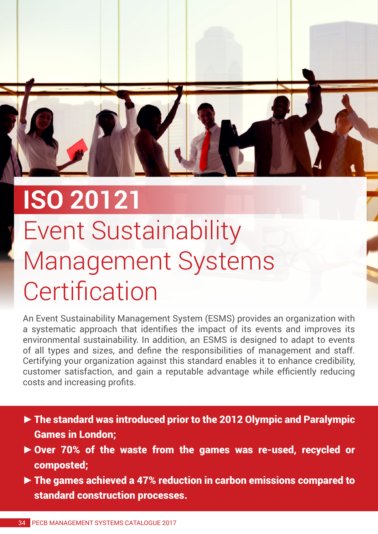

## **ISO 20121** Event Sustainability Management Systems **Certification**

An Event Sustainability Management System (ESMS) provides an organization with a systematic approach that identifies the impact of its events and improves its environmental sustainability. In addition, an ESMS is designed to adapt to events of all types and sizes, and define the responsibilities of management and staff. Certifying your organization against this standard enables it to enhance credibility, customer satisfaction, and gain a reputable advantage while efficiently reducing costs and increasing profits.

- **►**The standard was introduced prior to the 2012 Olympic and Paralympic Games in London;
- **►**Over 70% of the waste from the games was re-used, recycled or composted;
- **►**The games achieved a 47% reduction in carbon emissions compared to standard construction processes.